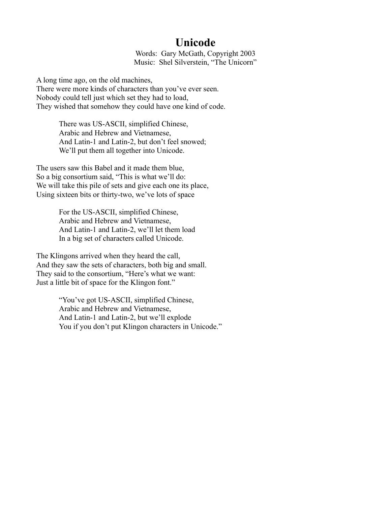## **Unicode**

Words: Gary McGath, Copyright 2003 Music: Shel Silverstein, "The Unicorn"

A long time ago, on the old machines, There were more kinds of characters than you've ever seen. Nobody could tell just which set they had to load, They wished that somehow they could have one kind of code.

> There was US-ASCII, simplified Chinese, Arabic and Hebrew and Vietnamese, And Latin-1 and Latin-2, but don't feel snowed; We'll put them all together into Unicode.

The users saw this Babel and it made them blue, So a big consortium said, "This is what we'll do: We will take this pile of sets and give each one its place, Using sixteen bits or thirty-two, we've lots of space

> For the US-ASCII, simplified Chinese, Arabic and Hebrew and Vietnamese, And Latin-1 and Latin-2, we'll let them load In a big set of characters called Unicode.

The Klingons arrived when they heard the call, And they saw the sets of characters, both big and small. They said to the consortium, "Here's what we want: Just a little bit of space for the Klingon font."

> "You've got US-ASCII, simplified Chinese, Arabic and Hebrew and Vietnamese, And Latin-1 and Latin-2, but we'll explode You if you don't put Klingon characters in Unicode."